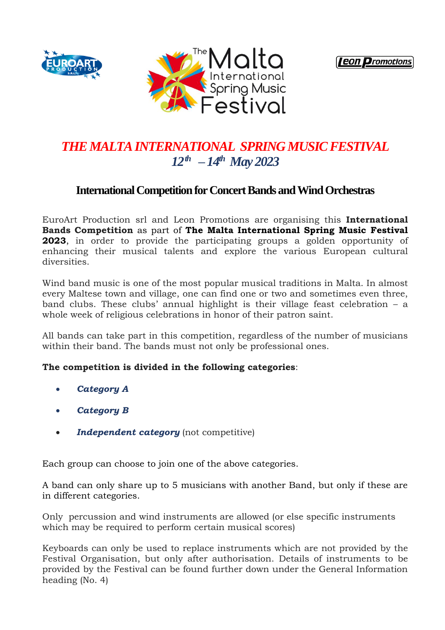





### *THE MALTA INTERNATIONAL SPRING MUSIC FESTIVAL 12th – 14th May 2023*

### **International Competition for Concert Bands and Wind Orchestras**

EuroArt Production srl and Leon Promotions are organising this **International Bands Competition** as part of **The Malta International Spring Music Festival 2023**, in order to provide the participating groups a golden opportunity of enhancing their musical talents and explore the various European cultural diversities.

Wind band music is one of the most popular musical traditions in Malta. In almost every Maltese town and village, one can find one or two and sometimes even three, band clubs. These clubs' annual highlight is their village feast celebration – a whole week of religious celebrations in honor of their patron saint.

All bands can take part in this competition, regardless of the number of musicians within their band. The bands must not only be professional ones.

#### **The competition is divided in the following categories**:

- *Category A*
- *Category B*
- *Independent category* (not competitive)

Each group can choose to join one of the above categories.

A band can only share up to 5 musicians with another Band, but only if these are in different categories.

Only percussion and wind instruments are allowed (or else specific instruments which may be required to perform certain musical scores)

Keyboards can only be used to replace instruments which are not provided by the Festival Organisation, but only after authorisation. Details of instruments to be provided by the Festival can be found further down under the General Information heading (No. 4)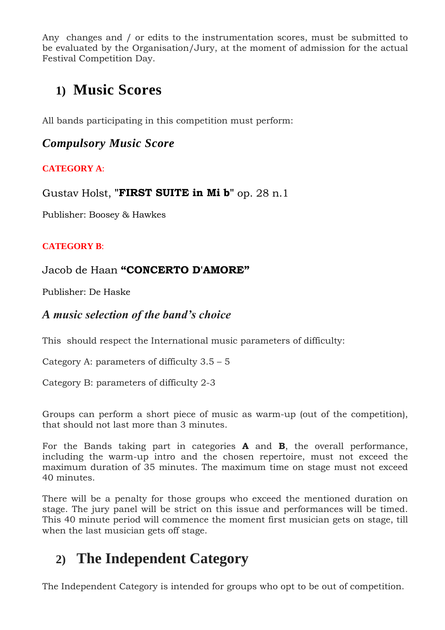Any changes and / or edits to the instrumentation scores, must be submitted to be evaluated by the Organisation/Jury, at the moment of admission for the actual Festival Competition Day.

# **1) Music Scores**

All bands participating in this competition must perform:

### *Compulsory Music Score*

### **CATEGORY A**:

Gustav Holst, **"FIRST SUITE in Mi b"** op. 28 n.1

Publisher: Boosey & Hawkes

#### **CATEGORY B**:

### Jacob de Haan **"CONCERTO D'AMORE"**

Publisher: De Haske

### *A music selection of the band's choice*

This should respect the International music parameters of difficulty:

Category A: parameters of difficulty  $3.5 - 5$ 

Category B: parameters of difficulty 2-3

Groups can perform a short piece of music as warm-up (out of the competition), that should not last more than 3 minutes.

For the Bands taking part in categories **A** and **B**, the overall performance, including the warm-up intro and the chosen repertoire, must not exceed the maximum duration of 35 minutes. The maximum time on stage must not exceed 40 minutes.

There will be a penalty for those groups who exceed the mentioned duration on stage. The jury panel will be strict on this issue and performances will be timed. This 40 minute period will commence the moment first musician gets on stage, till when the last musician gets off stage.

### **2) The Independent Category**

The Independent Category is intended for groups who opt to be out of competition.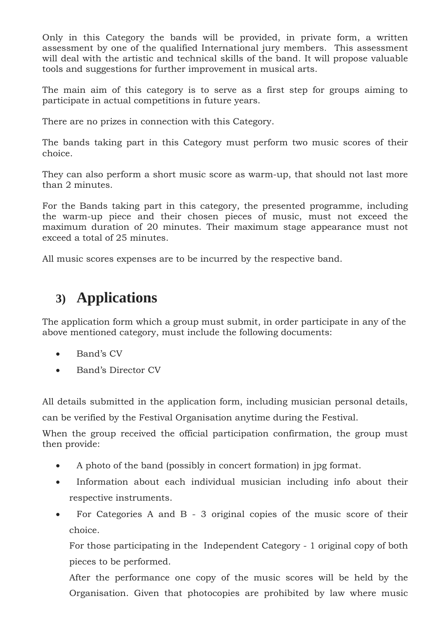Only in this Category the bands will be provided, in private form, a written assessment by one of the qualified International jury members. This assessment will deal with the artistic and technical skills of the band. It will propose valuable tools and suggestions for further improvement in musical arts.

The main aim of this category is to serve as a first step for groups aiming to participate in actual competitions in future years.

There are no prizes in connection with this Category.

The bands taking part in this Category must perform two music scores of their choice.

They can also perform a short music score as warm-up, that should not last more than 2 minutes.

For the Bands taking part in this category, the presented programme, including the warm-up piece and their chosen pieces of music, must not exceed the maximum duration of 20 minutes. Their maximum stage appearance must not exceed a total of 25 minutes.

All music scores expenses are to be incurred by the respective band.

# **3) Applications**

The application form which a group must submit, in order participate in any of the above mentioned category, must include the following documents:

- Band's CV
- Band's Director CV

All details submitted in the application form, including musician personal details,

can be verified by the Festival Organisation anytime during the Festival.

When the group received the official participation confirmation, the group must then provide:

- A photo of the band (possibly in concert formation) in jpg format.
- Information about each individual musician including info about their respective instruments.
- For Categories A and B 3 original copies of the music score of their choice.

For those participating in the Independent Category - 1 original copy of both pieces to be performed.

After the performance one copy of the music scores will be held by the Organisation. Given that photocopies are prohibited by law where music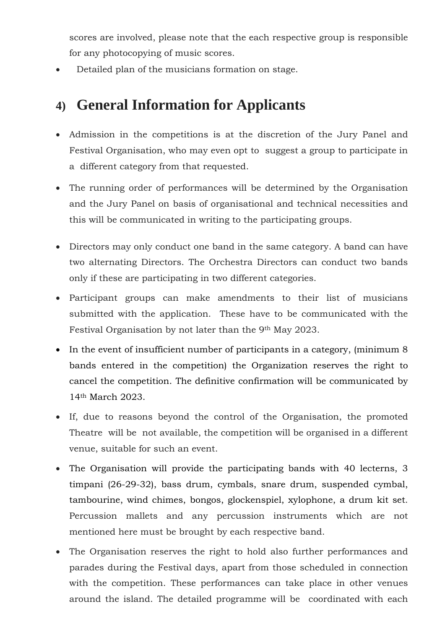scores are involved, please note that the each respective group is responsible for any photocopying of music scores.

Detailed plan of the musicians formation on stage.

# **4) General Information for Applicants**

- Admission in the competitions is at the discretion of the Jury Panel and Festival Organisation, who may even opt to suggest a group to participate in a different category from that requested.
- The running order of performances will be determined by the Organisation and the Jury Panel on basis of organisational and technical necessities and this will be communicated in writing to the participating groups.
- Directors may only conduct one band in the same category. A band can have two alternating Directors. The Orchestra Directors can conduct two bands only if these are participating in two different categories.
- Participant groups can make amendments to their list of musicians submitted with the application. These have to be communicated with the Festival Organisation by not later than the 9<sup>th</sup> May 2023.
- In the event of insufficient number of participants in a category, (minimum 8 bands entered in the competition) the Organization reserves the right to cancel the competition. The definitive confirmation will be communicated by 14th March 2023.
- If, due to reasons beyond the control of the Organisation, the promoted Theatre will be not available, the competition will be organised in a different venue, suitable for such an event.
- The Organisation will provide the participating bands with 40 lecterns, 3 timpani (26-29-32), bass drum, cymbals, snare drum, suspended cymbal, tambourine, wind chimes, bongos, glockenspiel, xylophone, a drum kit set. Percussion mallets and any percussion instruments which are not mentioned here must be brought by each respective band.
- The Organisation reserves the right to hold also further performances and parades during the Festival days, apart from those scheduled in connection with the competition. These performances can take place in other venues around the island. The detailed programme will be coordinated with each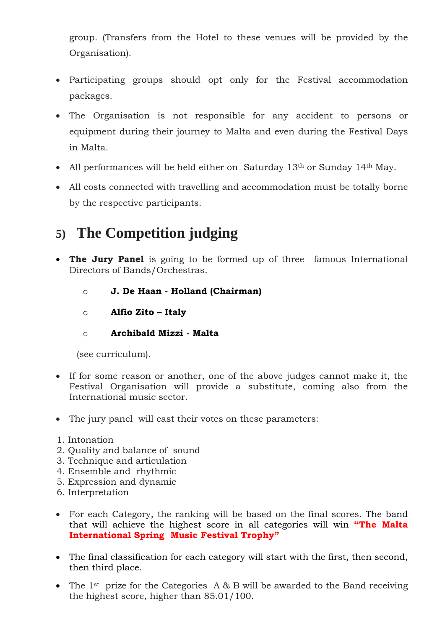group. (Transfers from the Hotel to these venues will be provided by the Organisation).

- Participating groups should opt only for the Festival accommodation packages.
- The Organisation is not responsible for any accident to persons or equipment during their journey to Malta and even during the Festival Days in Malta.
- All performances will be held either on Saturday  $13<sup>th</sup>$  or Sunday  $14<sup>th</sup>$  May.
- All costs connected with travelling and accommodation must be totally borne by the respective participants.

# **5) The Competition judging**

- **The Jury Panel** is going to be formed up of three famous International Directors of Bands/Orchestras.
	- o **J. De Haan - Holland (Chairman)**
	- o **Alfio Zito – Italy**
	- o **Archibald Mizzi - Malta**

(see curriculum).

- If for some reason or another, one of the above judges cannot make it, the Festival Organisation will provide a substitute, coming also from the International music sector.
- The jury panel will cast their votes on these parameters:
- 1. Intonation
- 2. Quality and balance of sound
- 3. Technique and articulation
- 4. Ensemble and rhythmic
- 5. Expression and dynamic
- 6. Interpretation
- For each Category, the ranking will be based on the final scores. The band that will achieve the highest score in all categories will win **"The Malta International Spring Music Festival Trophy"**
- The final classification for each category will start with the first, then second, then third place.
- The 1<sup>st</sup> prize for the Categories A & B will be awarded to the Band receiving the highest score, higher than 85.01/100.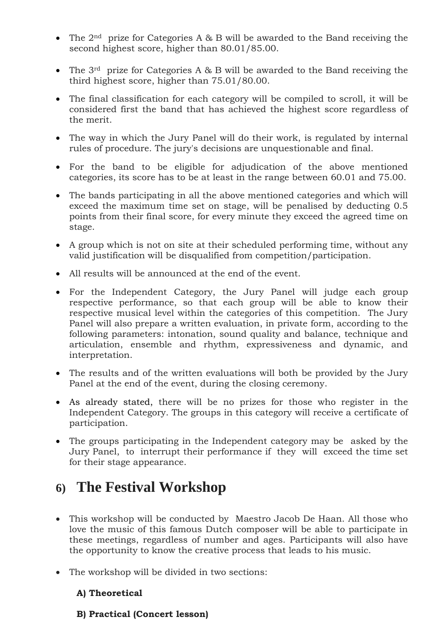- The  $2<sup>nd</sup>$  prize for Categories A & B will be awarded to the Band receiving the second highest score, higher than 80.01/85.00.
- The  $3<sup>rd</sup>$  prize for Categories A & B will be awarded to the Band receiving the third highest score, higher than 75.01/80.00.
- The final classification for each category will be compiled to scroll, it will be considered first the band that has achieved the highest score regardless of the merit.
- The way in which the Jury Panel will do their work, is regulated by internal rules of procedure. The jury's decisions are unquestionable and final.
- For the band to be eligible for adjudication of the above mentioned categories, its score has to be at least in the range between 60.01 and 75.00.
- The bands participating in all the above mentioned categories and which will exceed the maximum time set on stage, will be penalised by deducting 0.5 points from their final score, for every minute they exceed the agreed time on stage.
- A group which is not on site at their scheduled performing time, without any valid justification will be disqualified from competition/participation.
- All results will be announced at the end of the event.
- For the Independent Category, the Jury Panel will judge each group respective performance, so that each group will be able to know their respective musical level within the categories of this competition. The Jury Panel will also prepare a written evaluation, in private form, according to the following parameters: intonation, sound quality and balance, technique and articulation, ensemble and rhythm, expressiveness and dynamic, and interpretation.
- The results and of the written evaluations will both be provided by the Jury Panel at the end of the event, during the closing ceremony.
- As already stated, there will be no prizes for those who register in the Independent Category. The groups in this category will receive a certificate of participation.
- The groups participating in the Independent category may be asked by the Jury Panel, to interrupt their performance if they will exceed the time set for their stage appearance.

### **6) The Festival Workshop**

- This workshop will be conducted by Maestro Jacob De Haan. All those who love the music of this famous Dutch composer will be able to participate in these meetings, regardless of number and ages. Participants will also have the opportunity to know the creative process that leads to his music.
- The workshop will be divided in two sections:

#### **A) Theoretical**

#### **B) Practical (Concert lesson)**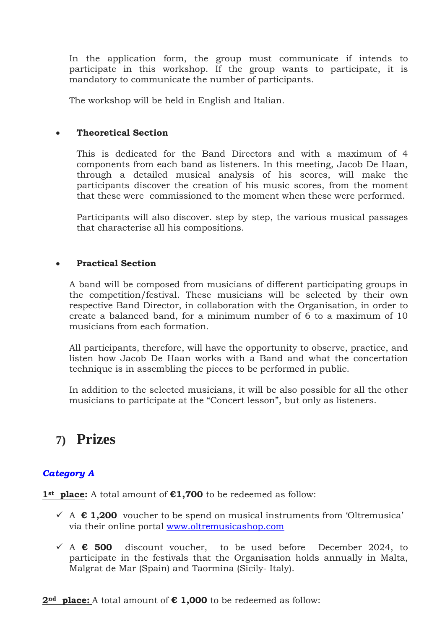In the application form, the group must communicate if intends to participate in this workshop. If the group wants to participate, it is mandatory to communicate the number of participants.

The workshop will be held in English and Italian.

#### **Theoretical Section**

This is dedicated for the Band Directors and with a maximum of 4 components from each band as listeners. In this meeting, Jacob De Haan, through a detailed musical analysis of his scores, will make the participants discover the creation of his music scores, from the moment that these were commissioned to the moment when these were performed.

Participants will also discover. step by step, the various musical passages that characterise all his compositions.

#### **Practical Section**

A band will be composed from musicians of different participating groups in the competition/festival. These musicians will be selected by their own respective Band Director, in collaboration with the Organisation, in order to create a balanced band, for a minimum number of 6 to a maximum of 10 musicians from each formation.

All participants, therefore, will have the opportunity to observe, practice, and listen how Jacob De Haan works with a Band and what the concertation technique is in assembling the pieces to be performed in public.

In addition to the selected musicians, it will be also possible for all the other musicians to participate at the "Concert lesson", but only as listeners.

### **7) Prizes**

### *Category A*

**1st place:** A total amount of **€1,700** to be redeemed as follow:

- A **€ 1,200** voucher to be spend on musical instruments from 'Oltremusica' via their online portal [www.oltremusicashop.com](http://www.oltremusicashop.com/)
- A **€ 500** discount voucher, to be used before December 2024, to participate in the festivals that the Organisation holds annually in Malta, Malgrat de Mar (Spain) and Taormina (Sicily- Italy).

**2nd place:** A total amount of **€ 1,000** to be redeemed as follow: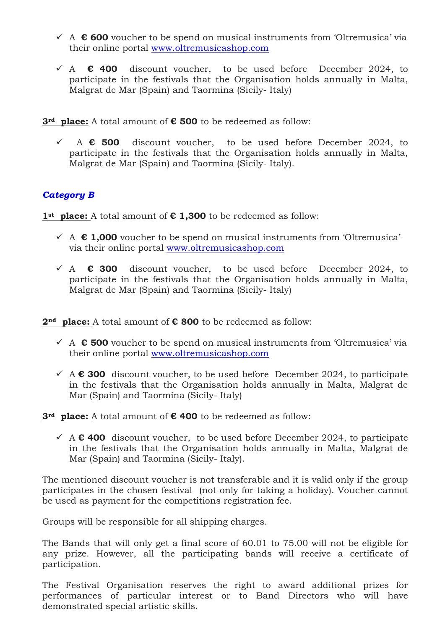- A **€ 600** voucher to be spend on musical instruments from 'Oltremusica' via their online portal [www.oltremusicashop.com](http://www.oltremusicashop.com/)
- A **€ 400** discount voucher, to be used before December 2024, to participate in the festivals that the Organisation holds annually in Malta, Malgrat de Mar (Spain) and Taormina (Sicily- Italy)

**3rd place:** A total amount of **€ 500** to be redeemed as follow:

 A **€ 500** discount voucher, to be used before December 2024, to participate in the festivals that the Organisation holds annually in Malta, Malgrat de Mar (Spain) and Taormina (Sicily- Italy).

#### *Category B*

**1st place:** A total amount of **€ 1,300** to be redeemed as follow:

- A **€ 1,000** voucher to be spend on musical instruments from 'Oltremusica' via their online portal [www.oltremusicashop.com](http://www.oltremusicashop.com/)
- A **€ 300** discount voucher, to be used before December 2024, to participate in the festivals that the Organisation holds annually in Malta, Malgrat de Mar (Spain) and Taormina (Sicily- Italy)

**2nd place:** A total amount of **€ 800** to be redeemed as follow:

- A **€ 500** voucher to be spend on musical instruments from 'Oltremusica' via their online portal [www.oltremusicashop.com](http://www.oltremusicashop.com/)
- A **€ 300** discount voucher, to be used before December 2024, to participate in the festivals that the Organisation holds annually in Malta, Malgrat de Mar (Spain) and Taormina (Sicily- Italy)

**3rd place:** A total amount of **€ 400** to be redeemed as follow:

 A **€ 400** discount voucher, to be used before December 2024, to participate in the festivals that the Organisation holds annually in Malta, Malgrat de Mar (Spain) and Taormina (Sicily- Italy).

The mentioned discount voucher is not transferable and it is valid only if the group participates in the chosen festival (not only for taking a holiday). Voucher cannot be used as payment for the competitions registration fee.

Groups will be responsible for all shipping charges.

The Bands that will only get a final score of 60.01 to 75.00 will not be eligible for any prize. However, all the participating bands will receive a certificate of participation.

The Festival Organisation reserves the right to award additional prizes for performances of particular interest or to Band Directors who will have demonstrated special artistic skills.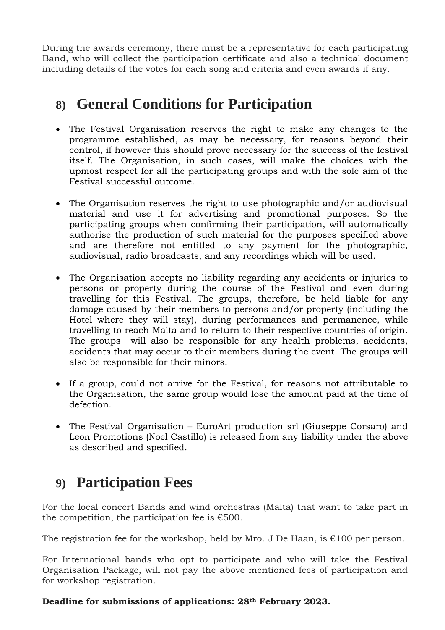During the awards ceremony, there must be a representative for each participating Band, who will collect the participation certificate and also a technical document including details of the votes for each song and criteria and even awards if any.

# **8) General Conditions for Participation**

- The Festival Organisation reserves the right to make any changes to the programme established, as may be necessary, for reasons beyond their control, if however this should prove necessary for the success of the festival itself. The Organisation, in such cases, will make the choices with the upmost respect for all the participating groups and with the sole aim of the Festival successful outcome.
- The Organisation reserves the right to use photographic and/or audiovisual material and use it for advertising and promotional purposes. So the participating groups when confirming their participation, will automatically authorise the production of such material for the purposes specified above and are therefore not entitled to any payment for the photographic, audiovisual, radio broadcasts, and any recordings which will be used.
- The Organisation accepts no liability regarding any accidents or injuries to persons or property during the course of the Festival and even during travelling for this Festival. The groups, therefore, be held liable for any damage caused by their members to persons and/or property (including the Hotel where they will stay), during performances and permanence, while travelling to reach Malta and to return to their respective countries of origin. The groups will also be responsible for any health problems, accidents, accidents that may occur to their members during the event. The groups will also be responsible for their minors.
- If a group, could not arrive for the Festival, for reasons not attributable to the Organisation, the same group would lose the amount paid at the time of defection.
- The Festival Organisation EuroArt production srl (Giuseppe Corsaro) and Leon Promotions (Noel Castillo) is released from any liability under the above as described and specified.

### **9) Participation Fees**

For the local concert Bands and wind orchestras (Malta) that want to take part in the competition, the participation fee is  $€500$ .

The registration fee for the workshop, held by Mro. J De Haan, is  $€100$  per person.

For International bands who opt to participate and who will take the Festival Organisation Package, will not pay the above mentioned fees of participation and for workshop registration.

#### **Deadline for submissions of applications: 28th February 2023.**